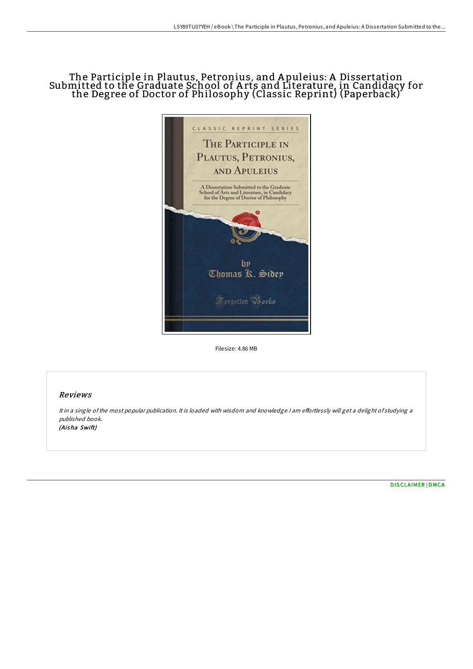## The Participle in Plautus, Petronius, and A puleius: A Dissertation Submitted to the Graduate School of A rts and Literature, in Candidacy for the Degree of Doctor of Philosophy (Classic Reprint) (Paperback)



Filesize: 4.86 MB

# Reviews

It in a single of the most popular publication. It is loaded with wisdom and knowledge I am effortlessly will get a delight of studying a published book. (Aisha Swift)

[DISCLAIMER](http://almighty24.tech/disclaimer.html) | [DMCA](http://almighty24.tech/dmca.html)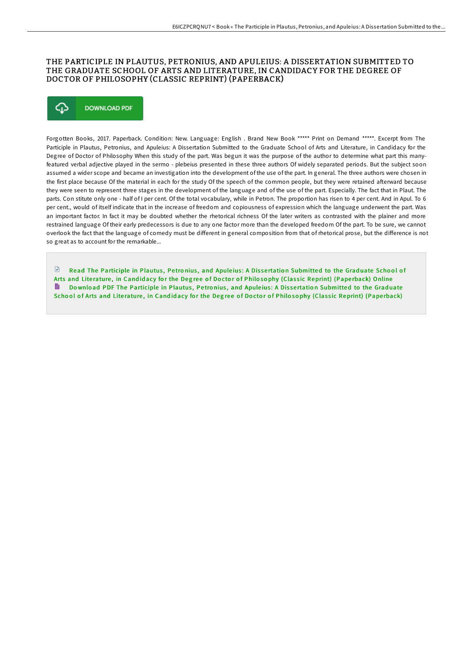## THE PARTICIPLE IN PLAUTUS, PETRONIUS, AND APULEIUS: A DISSERTATION SUBMITTED TO THE GRADUATE SCHOOL OF ARTS AND LITERATURE, IN CANDIDACY FOR THE DEGREE OF DOCTOR OF PHILOSOPHY (CLASSIC REPRINT) (PAPERBACK)



Forgotten Books, 2017. Paperback. Condition: New. Language: English . Brand New Book \*\*\*\*\* Print on Demand \*\*\*\*\*. Excerpt from The Participle in Plautus, Petronius, and Apuleius: A Dissertation Submitted to the Graduate School of Arts and Literature, in Candidacy for the Degree of Doctor of Philosophy When this study of the part. Was begun it was the purpose of the author to determine what part this manyfeatured verbal adjective played in the sermo - plebeius presented in these three authors Of widely separated periods. But the subject soon assumed a wider scope and became an investigation into the development of the use of the part. In general. The three authors were chosen in the first place because Of the material in each for the study Of the speech of the common people, but they were retained afterward because they were seen to represent three stages in the development of the language and of the use of the part. Especially. The fact that in Plaut. The parts. Con stitute only one - half of I per cent. Of the total vocabulary, while in Petron. The proportion has risen to 4 per cent. And in Apul. To 6 per cent., would of itself indicate that in the increase of freedom and copiousness of expression which the language underwent the part. Was an important factor. In fact it may be doubted whether the rhetorical richness Of the later writers as contrasted with the plainer and more restrained language Of their early predecessors is due to any one factor more than the developed freedom Of the part. To be sure, we cannot overlook the fact that the language of comedy must be diFerent in general composition from that of rhetorical prose, but the diFerence is not so great as to account for the remarkable...

 $\Box$  Read The Participle in Plautus. Petronius, and Apuleius: A Dissertation [Submitted](http://almighty24.tech/the-participle-in-plautus-petronius-and-apuleius.html) to the Graduate School of Arts and Literature, in Candidacy for the Degree of Doctor of Philosophy (Classic Reprint) (Paperback) Online Do wnload PDF The Participle in Plautus, Petronius, and Apuleius: A Dissertation [Submitted](http://almighty24.tech/the-participle-in-plautus-petronius-and-apuleius.html) to the Graduate School of Arts and Literature, in Candidacy for the Degree of Doctor of Philosophy (Classic Reprint) (Paperback)